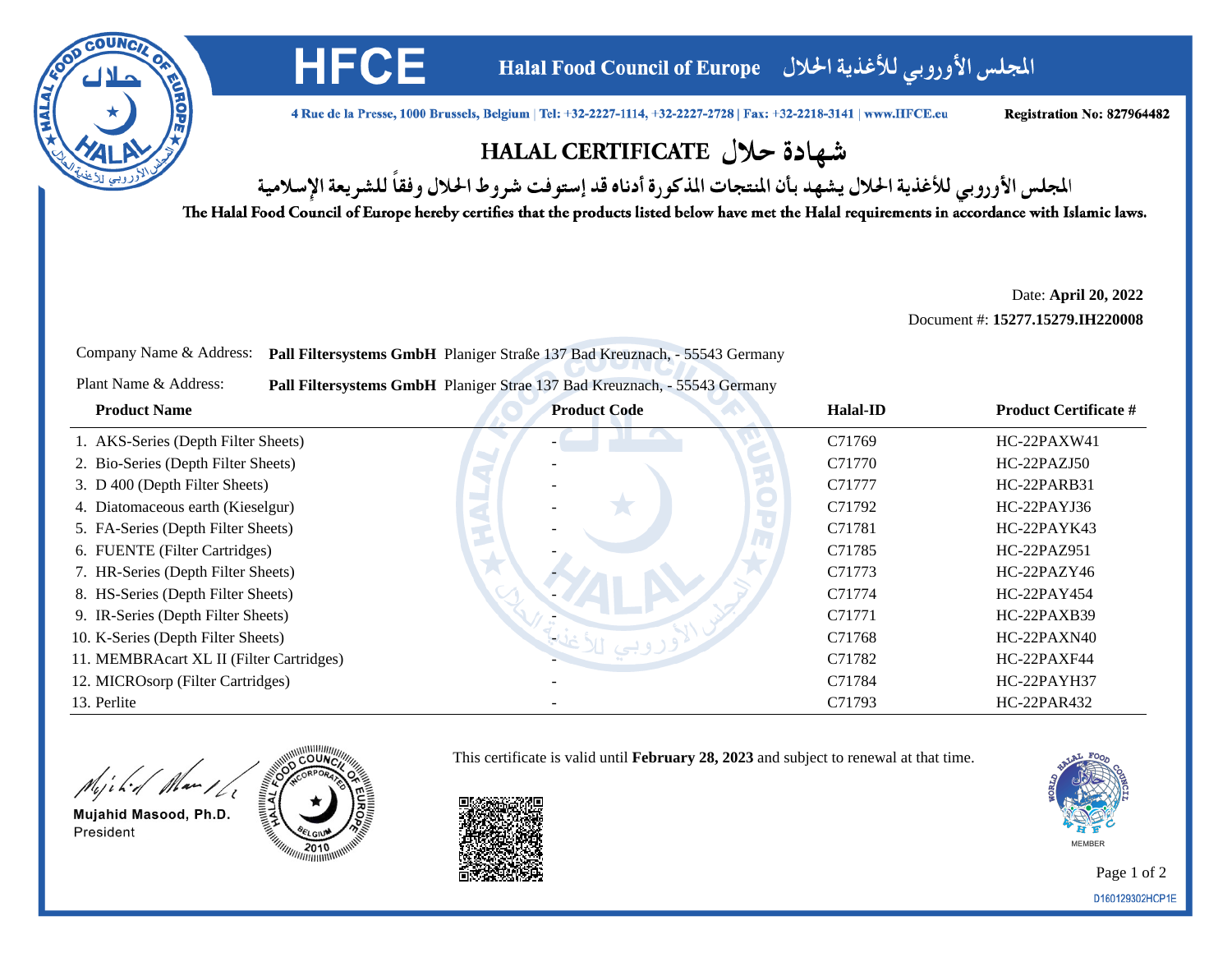

المجلس الأوروبي للأغذية الحلال Halal Food Council of Europe

4 Rue de la Presse, 1000 Brussels, Belgium | Tel: +32-2227-1114, +32-2227-2728 | Fax: +32-2218-3141 | www.HFCE.eu

Registration No: 827964482

## شهادة حلال HALAL CERTIFICATE

المجلس الأوروبي للأغذية الحلال يشهد بأن المنتجات المذكورة أدناه قد إستوفت شروط الحلال وفقاً للشريعة الإسلامية

The Halal Food Council of Europe hereby certifies that the products listed below have met the Halal requirements in accordance with Islamic laws.

Date: **April 20, 2022**Document #: **15277.15279.IH220008**

Company Name & Address: **Pall Filtersystems GmbH** Planiger Straße 137 Bad Kreuznach, - 55543 Germany

**HFCE** 

Plant Name & Address:**Pall Filtersystems GmbH** Planiger Strae 137 Bad Kreuznach, - 55543 Germany

| <b>Product Name</b>                      | <b>Product Code</b> | Halal-ID | <b>Product Certificate #</b> |
|------------------------------------------|---------------------|----------|------------------------------|
| 1. AKS-Series (Depth Filter Sheets)      |                     | C71769   | $HC-22PAXW41$                |
| 2. Bio-Series (Depth Filter Sheets)      |                     | C71770   | HC-22PAZJ50                  |
| 3. D 400 (Depth Filter Sheets)           |                     | C71777   | HC-22PARB31                  |
| 4. Diatomaceous earth (Kieselgur)        |                     | C71792   | HC-22PAYJ36                  |
| 5. FA-Series (Depth Filter Sheets)       |                     | C71781   | HC-22PAYK43                  |
| 6. FUENTE (Filter Cartridges)            |                     | C71785   | HC-22PAZ951                  |
| 7. HR-Series (Depth Filter Sheets)       |                     | C71773   | HC-22PAZY46                  |
| 8. HS-Series (Depth Filter Sheets)       |                     | C71774   | HC-22PAY454                  |
| 9. IR-Series (Depth Filter Sheets)       |                     | C71771   | HC-22PAXB39                  |
| 10. K-Series (Depth Filter Sheets)       |                     | C71768   | HC-22PAXN40                  |
| 11. MEMBRAcart XL II (Filter Cartridges) |                     | C71782   | HC-22PAXF44                  |
| 12. MICROsorp (Filter Cartridges)        |                     | C71784   | HC-22PAYH37                  |
| 13. Perlite                              |                     | C71793   | HC-22PAR432                  |

This certificate is valid until **February 28, 2023** and subject to renewal at that time.

Might Man 16

Mujahid Masood, Ph.D. President





Page 1 of 2D160129302HCP1E